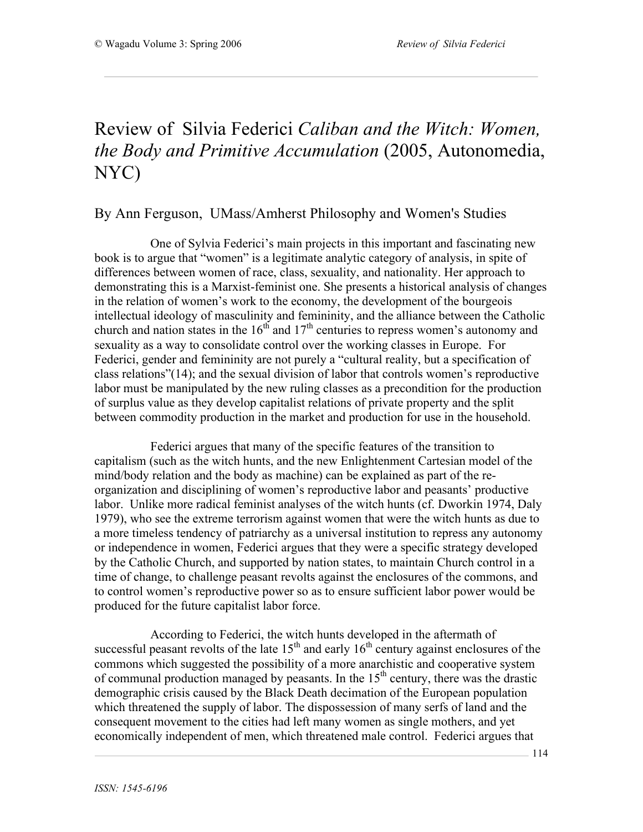## Review of Silvia Federici *Caliban and the Witch: Women, the Body and Primitive Accumulation* (2005, Autonomedia, NYC)

## By Ann Ferguson, UMass/Amherst Philosophy and Women's Studies

One of Sylvia Federici's main projects in this important and fascinating new book is to argue that "women" is a legitimate analytic category of analysis, in spite of differences between women of race, class, sexuality, and nationality. Her approach to demonstrating this is a Marxist-feminist one. She presents a historical analysis of changes in the relation of women's work to the economy, the development of the bourgeois intellectual ideology of masculinity and femininity, and the alliance between the Catholic church and nation states in the  $16<sup>th</sup>$  and  $17<sup>th</sup>$  centuries to repress women's autonomy and sexuality as a way to consolidate control over the working classes in Europe. For Federici, gender and femininity are not purely a "cultural reality, but a specification of class relations"(14); and the sexual division of labor that controls women's reproductive labor must be manipulated by the new ruling classes as a precondition for the production of surplus value as they develop capitalist relations of private property and the split between commodity production in the market and production for use in the household.

Federici argues that many of the specific features of the transition to capitalism (such as the witch hunts, and the new Enlightenment Cartesian model of the mind/body relation and the body as machine) can be explained as part of the reorganization and disciplining of women's reproductive labor and peasants' productive labor. Unlike more radical feminist analyses of the witch hunts (cf. Dworkin 1974, Daly 1979), who see the extreme terrorism against women that were the witch hunts as due to a more timeless tendency of patriarchy as a universal institution to repress any autonomy or independence in women, Federici argues that they were a specific strategy developed by the Catholic Church, and supported by nation states, to maintain Church control in a time of change, to challenge peasant revolts against the enclosures of the commons, and to control women's reproductive power so as to ensure sufficient labor power would be produced for the future capitalist labor force.

According to Federici, the witch hunts developed in the aftermath of successful peasant revolts of the late  $15<sup>th</sup>$  and early  $16<sup>th</sup>$  century against enclosures of the commons which suggested the possibility of a more anarchistic and cooperative system of communal production managed by peasants. In the  $15<sup>th</sup>$  century, there was the drastic demographic crisis caused by the Black Death decimation of the European population which threatened the supply of labor. The dispossession of many serfs of land and the consequent movement to the cities had left many women as single mothers, and yet economically independent of men, which threatened male control. Federici argues that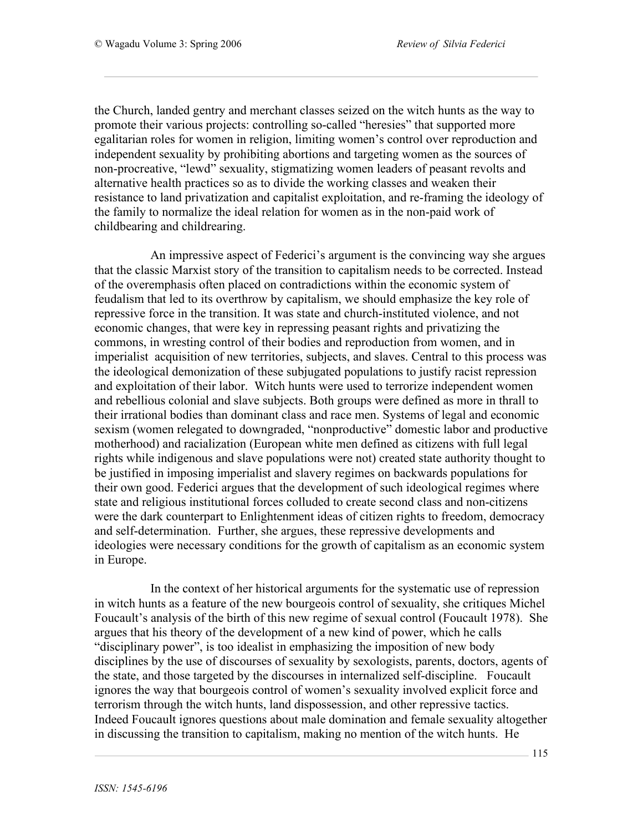the Church, landed gentry and merchant classes seized on the witch hunts as the way to promote their various projects: controlling so-called "heresies" that supported more egalitarian roles for women in religion, limiting women's control over reproduction and independent sexuality by prohibiting abortions and targeting women as the sources of non-procreative, "lewd" sexuality, stigmatizing women leaders of peasant revolts and alternative health practices so as to divide the working classes and weaken their resistance to land privatization and capitalist exploitation, and re-framing the ideology of the family to normalize the ideal relation for women as in the non-paid work of childbearing and childrearing.

An impressive aspect of Federici's argument is the convincing way she argues that the classic Marxist story of the transition to capitalism needs to be corrected. Instead of the overemphasis often placed on contradictions within the economic system of feudalism that led to its overthrow by capitalism, we should emphasize the key role of repressive force in the transition. It was state and church-instituted violence, and not economic changes, that were key in repressing peasant rights and privatizing the commons, in wresting control of their bodies and reproduction from women, and in imperialist acquisition of new territories, subjects, and slaves. Central to this process was the ideological demonization of these subjugated populations to justify racist repression and exploitation of their labor. Witch hunts were used to terrorize independent women and rebellious colonial and slave subjects. Both groups were defined as more in thrall to their irrational bodies than dominant class and race men. Systems of legal and economic sexism (women relegated to downgraded, "nonproductive" domestic labor and productive motherhood) and racialization (European white men defined as citizens with full legal rights while indigenous and slave populations were not) created state authority thought to be justified in imposing imperialist and slavery regimes on backwards populations for their own good. Federici argues that the development of such ideological regimes where state and religious institutional forces colluded to create second class and non-citizens were the dark counterpart to Enlightenment ideas of citizen rights to freedom, democracy and self-determination. Further, she argues, these repressive developments and ideologies were necessary conditions for the growth of capitalism as an economic system in Europe.

In the context of her historical arguments for the systematic use of repression in witch hunts as a feature of the new bourgeois control of sexuality, she critiques Michel Foucault's analysis of the birth of this new regime of sexual control (Foucault 1978). She argues that his theory of the development of a new kind of power, which he calls "disciplinary power", is too idealist in emphasizing the imposition of new body disciplines by the use of discourses of sexuality by sexologists, parents, doctors, agents of the state, and those targeted by the discourses in internalized self-discipline. Foucault ignores the way that bourgeois control of women's sexuality involved explicit force and terrorism through the witch hunts, land dispossession, and other repressive tactics. Indeed Foucault ignores questions about male domination and female sexuality altogether in discussing the transition to capitalism, making no mention of the witch hunts. He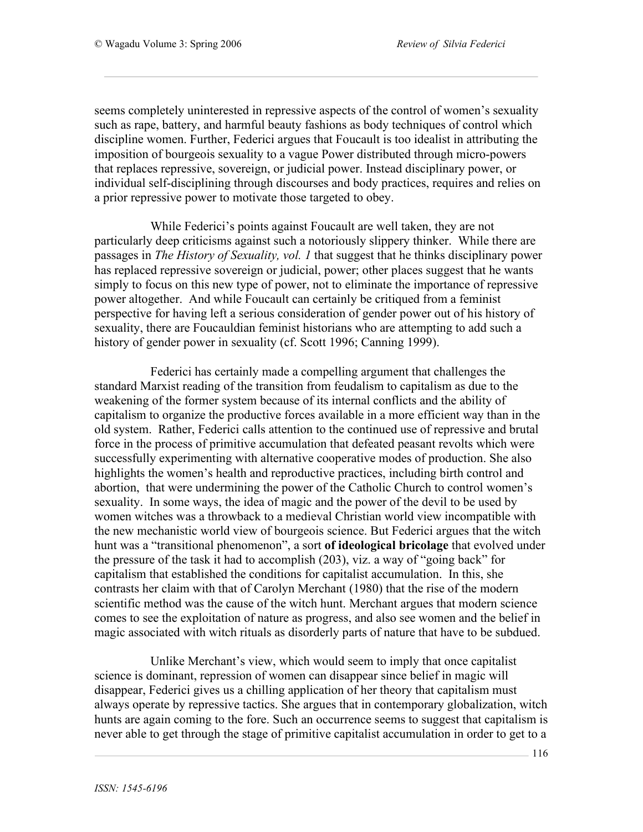seems completely uninterested in repressive aspects of the control of women's sexuality such as rape, battery, and harmful beauty fashions as body techniques of control which discipline women. Further, Federici argues that Foucault is too idealist in attributing the imposition of bourgeois sexuality to a vague Power distributed through micro-powers that replaces repressive, sovereign, or judicial power. Instead disciplinary power, or individual self-disciplining through discourses and body practices, requires and relies on a prior repressive power to motivate those targeted to obey.

While Federici's points against Foucault are well taken, they are not particularly deep criticisms against such a notoriously slippery thinker. While there are passages in *The History of Sexuality, vol. 1* that suggest that he thinks disciplinary power has replaced repressive sovereign or judicial, power; other places suggest that he wants simply to focus on this new type of power, not to eliminate the importance of repressive power altogether. And while Foucault can certainly be critiqued from a feminist perspective for having left a serious consideration of gender power out of his history of sexuality, there are Foucauldian feminist historians who are attempting to add such a history of gender power in sexuality (cf. Scott 1996; Canning 1999).

Federici has certainly made a compelling argument that challenges the standard Marxist reading of the transition from feudalism to capitalism as due to the weakening of the former system because of its internal conflicts and the ability of capitalism to organize the productive forces available in a more efficient way than in the old system. Rather, Federici calls attention to the continued use of repressive and brutal force in the process of primitive accumulation that defeated peasant revolts which were successfully experimenting with alternative cooperative modes of production. She also highlights the women's health and reproductive practices, including birth control and abortion, that were undermining the power of the Catholic Church to control women's sexuality. In some ways, the idea of magic and the power of the devil to be used by women witches was a throwback to a medieval Christian world view incompatible with the new mechanistic world view of bourgeois science. But Federici argues that the witch hunt was a "transitional phenomenon", a sort **of ideological bricolage** that evolved under the pressure of the task it had to accomplish (203), viz. a way of "going back" for capitalism that established the conditions for capitalist accumulation. In this, she contrasts her claim with that of Carolyn Merchant (1980) that the rise of the modern scientific method was the cause of the witch hunt. Merchant argues that modern science comes to see the exploitation of nature as progress, and also see women and the belief in magic associated with witch rituals as disorderly parts of nature that have to be subdued.

Unlike Merchant's view, which would seem to imply that once capitalist science is dominant, repression of women can disappear since belief in magic will disappear, Federici gives us a chilling application of her theory that capitalism must always operate by repressive tactics. She argues that in contemporary globalization, witch hunts are again coming to the fore. Such an occurrence seems to suggest that capitalism is never able to get through the stage of primitive capitalist accumulation in order to get to a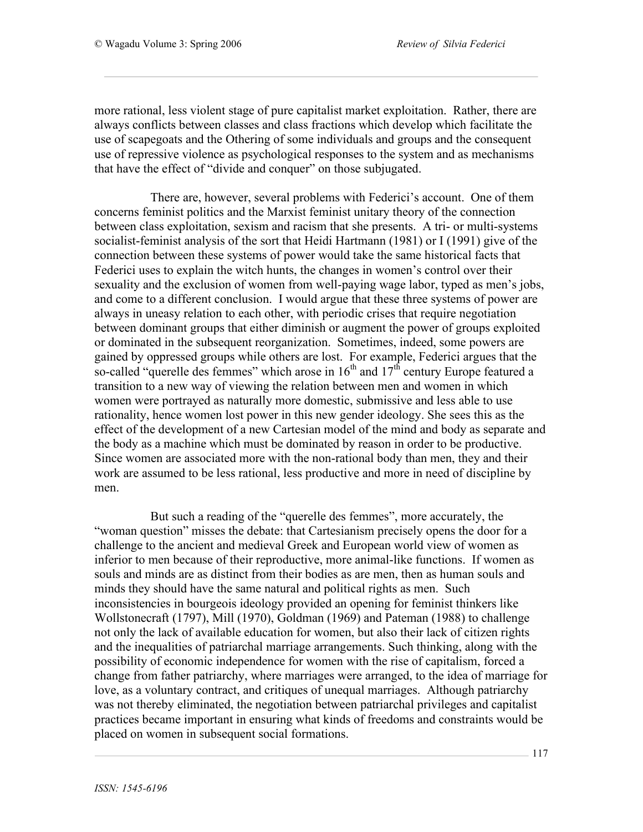more rational, less violent stage of pure capitalist market exploitation. Rather, there are always conflicts between classes and class fractions which develop which facilitate the use of scapegoats and the Othering of some individuals and groups and the consequent use of repressive violence as psychological responses to the system and as mechanisms that have the effect of "divide and conquer" on those subjugated.

There are, however, several problems with Federici's account. One of them concerns feminist politics and the Marxist feminist unitary theory of the connection between class exploitation, sexism and racism that she presents. A tri- or multi-systems socialist-feminist analysis of the sort that Heidi Hartmann (1981) or I (1991) give of the connection between these systems of power would take the same historical facts that Federici uses to explain the witch hunts, the changes in women's control over their sexuality and the exclusion of women from well-paying wage labor, typed as men's jobs, and come to a different conclusion. I would argue that these three systems of power are always in uneasy relation to each other, with periodic crises that require negotiation between dominant groups that either diminish or augment the power of groups exploited or dominated in the subsequent reorganization. Sometimes, indeed, some powers are gained by oppressed groups while others are lost. For example, Federici argues that the so-called "querelle des femmes" which arose in  $16<sup>th</sup>$  and  $17<sup>th</sup>$  century Europe featured a transition to a new way of viewing the relation between men and women in which women were portrayed as naturally more domestic, submissive and less able to use rationality, hence women lost power in this new gender ideology. She sees this as the effect of the development of a new Cartesian model of the mind and body as separate and the body as a machine which must be dominated by reason in order to be productive. Since women are associated more with the non-rational body than men, they and their work are assumed to be less rational, less productive and more in need of discipline by men.

But such a reading of the "querelle des femmes", more accurately, the "woman question" misses the debate: that Cartesianism precisely opens the door for a challenge to the ancient and medieval Greek and European world view of women as inferior to men because of their reproductive, more animal-like functions. If women as souls and minds are as distinct from their bodies as are men, then as human souls and minds they should have the same natural and political rights as men. Such inconsistencies in bourgeois ideology provided an opening for feminist thinkers like Wollstonecraft (1797), Mill (1970), Goldman (1969) and Pateman (1988) to challenge not only the lack of available education for women, but also their lack of citizen rights and the inequalities of patriarchal marriage arrangements. Such thinking, along with the possibility of economic independence for women with the rise of capitalism, forced a change from father patriarchy, where marriages were arranged, to the idea of marriage for love, as a voluntary contract, and critiques of unequal marriages. Although patriarchy was not thereby eliminated, the negotiation between patriarchal privileges and capitalist practices became important in ensuring what kinds of freedoms and constraints would be placed on women in subsequent social formations.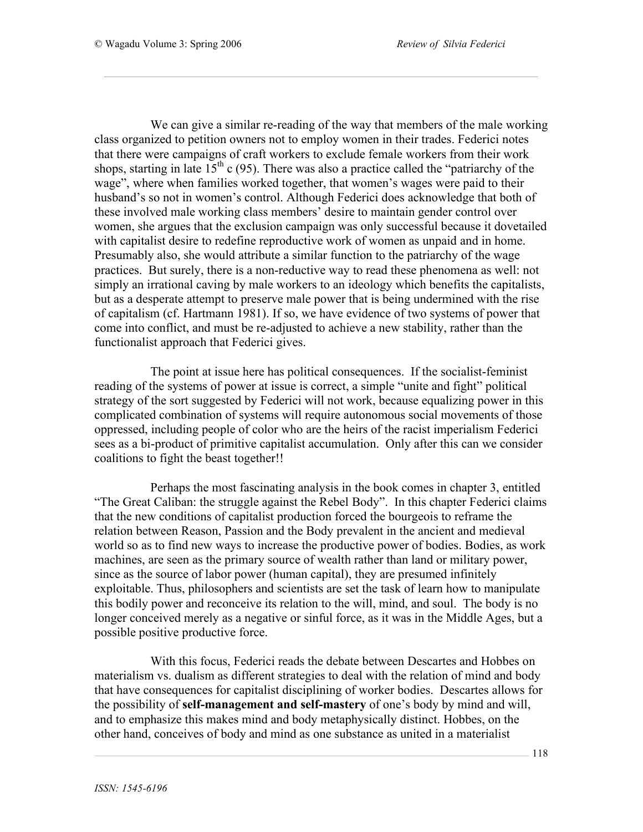We can give a similar re-reading of the way that members of the male working class organized to petition owners not to employ women in their trades. Federici notes that there were campaigns of craft workers to exclude female workers from their work shops, starting in late  $15<sup>th</sup>$  c (95). There was also a practice called the "patriarchy of the wage", where when families worked together, that women's wages were paid to their husband's so not in women's control. Although Federici does acknowledge that both of these involved male working class members' desire to maintain gender control over women, she argues that the exclusion campaign was only successful because it dovetailed with capitalist desire to redefine reproductive work of women as unpaid and in home. Presumably also, she would attribute a similar function to the patriarchy of the wage practices. But surely, there is a non-reductive way to read these phenomena as well: not simply an irrational caving by male workers to an ideology which benefits the capitalists, but as a desperate attempt to preserve male power that is being undermined with the rise of capitalism (cf. Hartmann 1981). If so, we have evidence of two systems of power that come into conflict, and must be re-adjusted to achieve a new stability, rather than the functionalist approach that Federici gives.

The point at issue here has political consequences. If the socialist-feminist reading of the systems of power at issue is correct, a simple "unite and fight" political strategy of the sort suggested by Federici will not work, because equalizing power in this complicated combination of systems will require autonomous social movements of those oppressed, including people of color who are the heirs of the racist imperialism Federici sees as a bi-product of primitive capitalist accumulation. Only after this can we consider coalitions to fight the beast together!!

Perhaps the most fascinating analysis in the book comes in chapter 3, entitled "The Great Caliban: the struggle against the Rebel Body". In this chapter Federici claims that the new conditions of capitalist production forced the bourgeois to reframe the relation between Reason, Passion and the Body prevalent in the ancient and medieval world so as to find new ways to increase the productive power of bodies. Bodies, as work machines, are seen as the primary source of wealth rather than land or military power, since as the source of labor power (human capital), they are presumed infinitely exploitable. Thus, philosophers and scientists are set the task of learn how to manipulate this bodily power and reconceive its relation to the will, mind, and soul. The body is no longer conceived merely as a negative or sinful force, as it was in the Middle Ages, but a possible positive productive force.

With this focus, Federici reads the debate between Descartes and Hobbes on materialism vs. dualism as different strategies to deal with the relation of mind and body that have consequences for capitalist disciplining of worker bodies. Descartes allows for the possibility of **self-management and self-mastery** of one's body by mind and will, and to emphasize this makes mind and body metaphysically distinct. Hobbes, on the other hand, conceives of body and mind as one substance as united in a materialist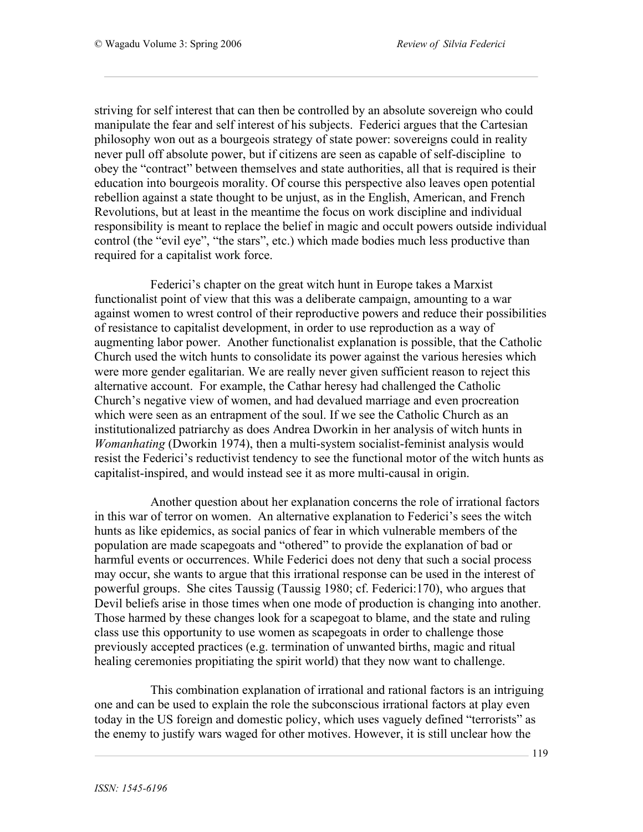striving for self interest that can then be controlled by an absolute sovereign who could manipulate the fear and self interest of his subjects. Federici argues that the Cartesian philosophy won out as a bourgeois strategy of state power: sovereigns could in reality never pull off absolute power, but if citizens are seen as capable of self-discipline to obey the "contract" between themselves and state authorities, all that is required is their education into bourgeois morality. Of course this perspective also leaves open potential rebellion against a state thought to be unjust, as in the English, American, and French Revolutions, but at least in the meantime the focus on work discipline and individual responsibility is meant to replace the belief in magic and occult powers outside individual control (the "evil eye", "the stars", etc.) which made bodies much less productive than required for a capitalist work force.

Federici's chapter on the great witch hunt in Europe takes a Marxist functionalist point of view that this was a deliberate campaign, amounting to a war against women to wrest control of their reproductive powers and reduce their possibilities of resistance to capitalist development, in order to use reproduction as a way of augmenting labor power. Another functionalist explanation is possible, that the Catholic Church used the witch hunts to consolidate its power against the various heresies which were more gender egalitarian. We are really never given sufficient reason to reject this alternative account. For example, the Cathar heresy had challenged the Catholic Church's negative view of women, and had devalued marriage and even procreation which were seen as an entrapment of the soul. If we see the Catholic Church as an institutionalized patriarchy as does Andrea Dworkin in her analysis of witch hunts in *Womanhating* (Dworkin 1974), then a multi-system socialist-feminist analysis would resist the Federici's reductivist tendency to see the functional motor of the witch hunts as capitalist-inspired, and would instead see it as more multi-causal in origin.

Another question about her explanation concerns the role of irrational factors in this war of terror on women. An alternative explanation to Federici's sees the witch hunts as like epidemics, as social panics of fear in which vulnerable members of the population are made scapegoats and "othered" to provide the explanation of bad or harmful events or occurrences. While Federici does not deny that such a social process may occur, she wants to argue that this irrational response can be used in the interest of powerful groups. She cites Taussig (Taussig 1980; cf. Federici:170), who argues that Devil beliefs arise in those times when one mode of production is changing into another. Those harmed by these changes look for a scapegoat to blame, and the state and ruling class use this opportunity to use women as scapegoats in order to challenge those previously accepted practices (e.g. termination of unwanted births, magic and ritual healing ceremonies propitiating the spirit world) that they now want to challenge.

This combination explanation of irrational and rational factors is an intriguing one and can be used to explain the role the subconscious irrational factors at play even today in the US foreign and domestic policy, which uses vaguely defined "terrorists" as the enemy to justify wars waged for other motives. However, it is still unclear how the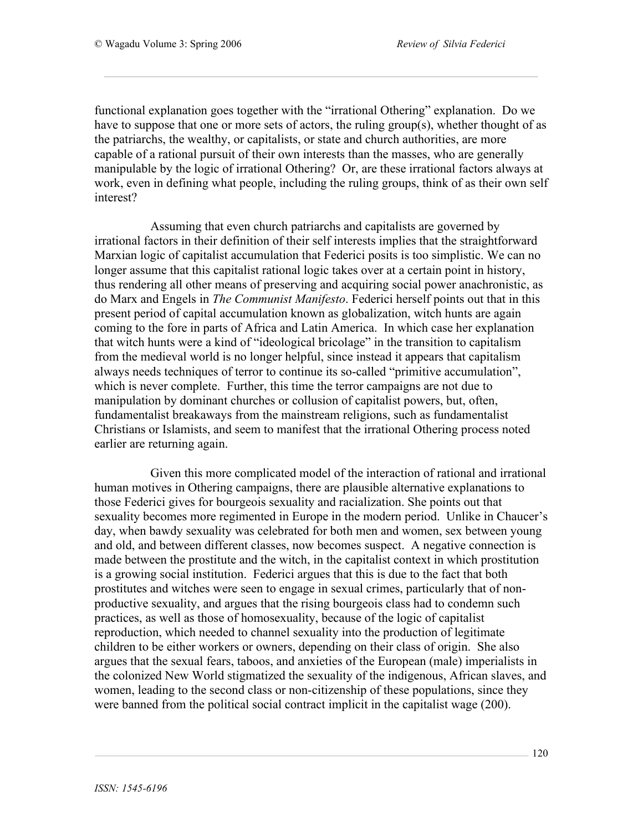functional explanation goes together with the "irrational Othering" explanation. Do we have to suppose that one or more sets of actors, the ruling group(s), whether thought of as the patriarchs, the wealthy, or capitalists, or state and church authorities, are more capable of a rational pursuit of their own interests than the masses, who are generally manipulable by the logic of irrational Othering? Or, are these irrational factors always at work, even in defining what people, including the ruling groups, think of as their own self interest?

Assuming that even church patriarchs and capitalists are governed by irrational factors in their definition of their self interests implies that the straightforward Marxian logic of capitalist accumulation that Federici posits is too simplistic. We can no longer assume that this capitalist rational logic takes over at a certain point in history, thus rendering all other means of preserving and acquiring social power anachronistic, as do Marx and Engels in *The Communist Manifesto*. Federici herself points out that in this present period of capital accumulation known as globalization, witch hunts are again coming to the fore in parts of Africa and Latin America. In which case her explanation that witch hunts were a kind of "ideological bricolage" in the transition to capitalism from the medieval world is no longer helpful, since instead it appears that capitalism always needs techniques of terror to continue its so-called "primitive accumulation", which is never complete. Further, this time the terror campaigns are not due to manipulation by dominant churches or collusion of capitalist powers, but, often, fundamentalist breakaways from the mainstream religions, such as fundamentalist Christians or Islamists, and seem to manifest that the irrational Othering process noted earlier are returning again.

Given this more complicated model of the interaction of rational and irrational human motives in Othering campaigns, there are plausible alternative explanations to those Federici gives for bourgeois sexuality and racialization. She points out that sexuality becomes more regimented in Europe in the modern period. Unlike in Chaucer's day, when bawdy sexuality was celebrated for both men and women, sex between young and old, and between different classes, now becomes suspect. A negative connection is made between the prostitute and the witch, in the capitalist context in which prostitution is a growing social institution. Federici argues that this is due to the fact that both prostitutes and witches were seen to engage in sexual crimes, particularly that of nonproductive sexuality, and argues that the rising bourgeois class had to condemn such practices, as well as those of homosexuality, because of the logic of capitalist reproduction, which needed to channel sexuality into the production of legitimate children to be either workers or owners, depending on their class of origin. She also argues that the sexual fears, taboos, and anxieties of the European (male) imperialists in the colonized New World stigmatized the sexuality of the indigenous, African slaves, and women, leading to the second class or non-citizenship of these populations, since they were banned from the political social contract implicit in the capitalist wage (200).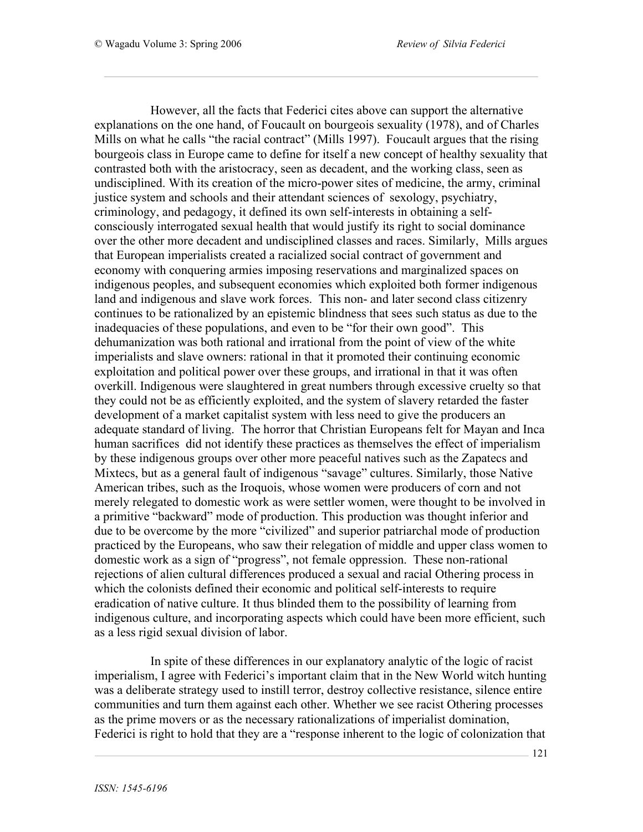However, all the facts that Federici cites above can support the alternative explanations on the one hand, of Foucault on bourgeois sexuality (1978), and of Charles Mills on what he calls "the racial contract" (Mills 1997). Foucault argues that the rising bourgeois class in Europe came to define for itself a new concept of healthy sexuality that contrasted both with the aristocracy, seen as decadent, and the working class, seen as undisciplined. With its creation of the micro-power sites of medicine, the army, criminal justice system and schools and their attendant sciences of sexology, psychiatry, criminology, and pedagogy, it defined its own self-interests in obtaining a selfconsciously interrogated sexual health that would justify its right to social dominance over the other more decadent and undisciplined classes and races. Similarly, Mills argues that European imperialists created a racialized social contract of government and economy with conquering armies imposing reservations and marginalized spaces on indigenous peoples, and subsequent economies which exploited both former indigenous land and indigenous and slave work forces. This non- and later second class citizenry continues to be rationalized by an epistemic blindness that sees such status as due to the inadequacies of these populations, and even to be "for their own good". This dehumanization was both rational and irrational from the point of view of the white imperialists and slave owners: rational in that it promoted their continuing economic exploitation and political power over these groups, and irrational in that it was often overkill. Indigenous were slaughtered in great numbers through excessive cruelty so that they could not be as efficiently exploited, and the system of slavery retarded the faster development of a market capitalist system with less need to give the producers an adequate standard of living. The horror that Christian Europeans felt for Mayan and Inca human sacrifices did not identify these practices as themselves the effect of imperialism by these indigenous groups over other more peaceful natives such as the Zapatecs and Mixtecs, but as a general fault of indigenous "savage" cultures. Similarly, those Native American tribes, such as the Iroquois, whose women were producers of corn and not merely relegated to domestic work as were settler women, were thought to be involved in a primitive "backward" mode of production. This production was thought inferior and due to be overcome by the more "civilized" and superior patriarchal mode of production practiced by the Europeans, who saw their relegation of middle and upper class women to domestic work as a sign of "progress", not female oppression. These non-rational rejections of alien cultural differences produced a sexual and racial Othering process in which the colonists defined their economic and political self-interests to require eradication of native culture. It thus blinded them to the possibility of learning from indigenous culture, and incorporating aspects which could have been more efficient, such as a less rigid sexual division of labor.

In spite of these differences in our explanatory analytic of the logic of racist imperialism, I agree with Federici's important claim that in the New World witch hunting was a deliberate strategy used to instill terror, destroy collective resistance, silence entire communities and turn them against each other. Whether we see racist Othering processes as the prime movers or as the necessary rationalizations of imperialist domination, Federici is right to hold that they are a "response inherent to the logic of colonization that

121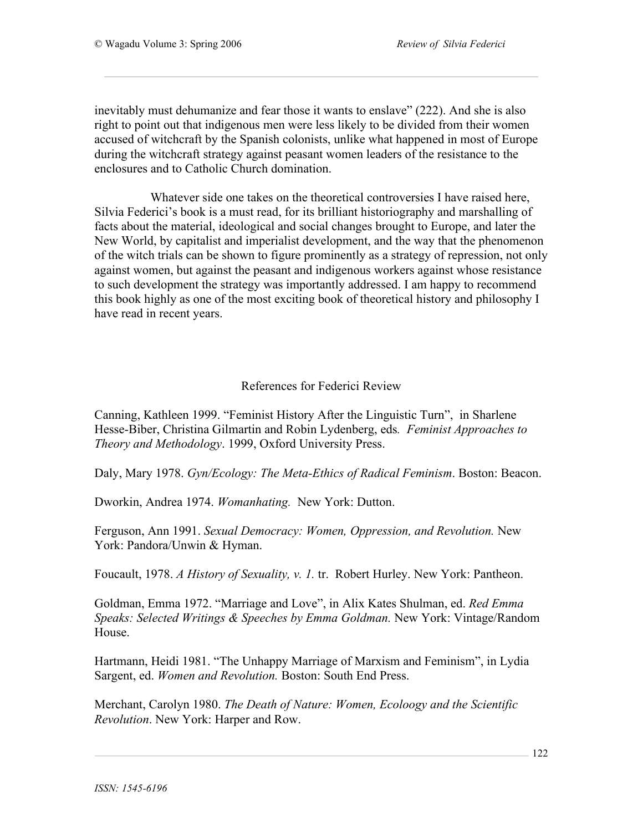inevitably must dehumanize and fear those it wants to enslave" (222). And she is also right to point out that indigenous men were less likely to be divided from their women accused of witchcraft by the Spanish colonists, unlike what happened in most of Europe during the witchcraft strategy against peasant women leaders of the resistance to the enclosures and to Catholic Church domination.

Whatever side one takes on the theoretical controversies I have raised here, Silvia Federici's book is a must read, for its brilliant historiography and marshalling of facts about the material, ideological and social changes brought to Europe, and later the New World, by capitalist and imperialist development, and the way that the phenomenon of the witch trials can be shown to figure prominently as a strategy of repression, not only against women, but against the peasant and indigenous workers against whose resistance to such development the strategy was importantly addressed. I am happy to recommend this book highly as one of the most exciting book of theoretical history and philosophy I have read in recent years.

## References for Federici Review

Canning, Kathleen 1999. "Feminist History After the Linguistic Turn", in Sharlene Hesse-Biber, Christina Gilmartin and Robin Lydenberg, eds*. Feminist Approaches to Theory and Methodology*. 1999, Oxford University Press.

Daly, Mary 1978. *Gyn/Ecology: The Meta-Ethics of Radical Feminism*. Boston: Beacon.

Dworkin, Andrea 1974. *Womanhating.* New York: Dutton.

Ferguson, Ann 1991. *Sexual Democracy: Women, Oppression, and Revolution.* New York: Pandora/Unwin & Hyman.

Foucault, 1978. *A History of Sexuality, v. 1.* tr. Robert Hurley. New York: Pantheon.

Goldman, Emma 1972. "Marriage and Love", in Alix Kates Shulman, ed. *Red Emma Speaks: Selected Writings & Speeches by Emma Goldman.* New York: Vintage/Random House.

Hartmann, Heidi 1981. "The Unhappy Marriage of Marxism and Feminism", in Lydia Sargent, ed. *Women and Revolution.* Boston: South End Press.

Merchant, Carolyn 1980. *The Death of Nature: Women, Ecoloogy and the Scientific Revolution*. New York: Harper and Row.